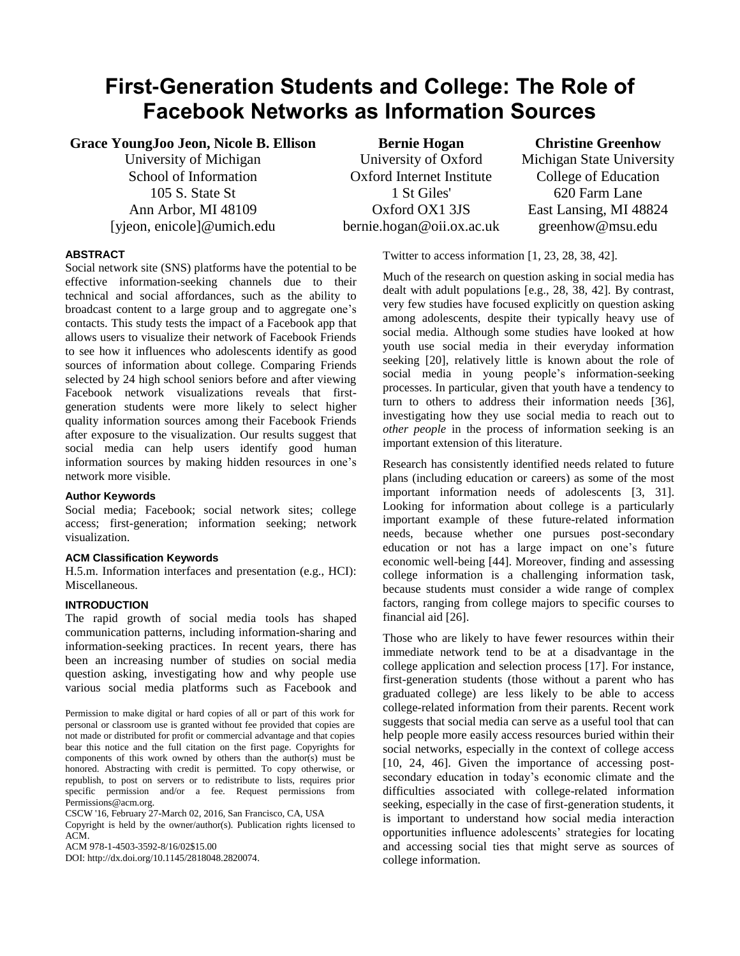# **First-Generation Students and College: The Role of Facebook Networks as Information Sources**

**Grace YoungJoo Jeon, Nicole B. Ellison**

University of Michigan School of Information 105 S. State St Ann Arbor, MI 48109 [yjeon, enicole]@umich.edu

**Bernie Hogan** University of Oxford Oxford Internet Institute 1 St Giles' Oxford OX1 3JS bernie.hogan@oii.ox.ac.uk

**Christine Greenhow** Michigan State University College of Education 620 Farm Lane East Lansing, MI 48824 greenhow@msu.edu

# **ABSTRACT**

Social network site (SNS) platforms have the potential to be effective information-seeking channels due to their technical and social affordances, such as the ability to broadcast content to a large group and to aggregate one's contacts. This study tests the impact of a Facebook app that allows users to visualize their network of Facebook Friends to see how it influences who adolescents identify as good sources of information about college. Comparing Friends selected by 24 high school seniors before and after viewing Facebook network visualizations reveals that firstgeneration students were more likely to select higher quality information sources among their Facebook Friends after exposure to the visualization. Our results suggest that social media can help users identify good human information sources by making hidden resources in one's network more visible.

# **Author Keywords**

Social media; Facebook; social network sites; college access; first-generation; information seeking; network visualization.

# **ACM Classification Keywords**

H.5.m. Information interfaces and presentation (e.g., HCI): Miscellaneous.

# **INTRODUCTION**

The rapid growth of social media tools has shaped communication patterns, including information-sharing and information-seeking practices. In recent years, there has been an increasing number of studies on social media question asking, investigating how and why people use various social media platforms such as Facebook and

Permission to make digital or hard copies of all or part of this work for personal or classroom use is granted without fee provided that copies are not made or distributed for profit or commercial advantage and that copies bear this notice and the full citation on the first page. Copyrights for components of this work owned by others than the author(s) must be honored. Abstracting with credit is permitted. To copy otherwise, or republish, to post on servers or to redistribute to lists, requires prior specific permission and/or a fee. Request permissions from Permissions@acm.org.

CSCW '16, February 27-March 02, 2016, San Francisco, CA, USA

Copyright is held by the owner/author(s). Publication rights licensed to ACM.

ACM 978-1-4503-3592-8/16/02\$15.00

DOI: http://dx.doi.org/10.1145/2818048.2820074.

Twitter to access information [1, 23, 28, 38, 42].

Much of the research on question asking in social media has dealt with adult populations [e.g., 28, 38, 42]. By contrast, very few studies have focused explicitly on question asking among adolescents, despite their typically heavy use of social media. Although some studies have looked at how youth use social media in their everyday information seeking [20], relatively little is known about the role of social media in young people's information-seeking processes. In particular, given that youth have a tendency to turn to others to address their information needs [36], investigating how they use social media to reach out to *other people* in the process of information seeking is an important extension of this literature.

Research has consistently identified needs related to future plans (including education or careers) as some of the most important information needs of adolescents [3, 31]. Looking for information about college is a particularly important example of these future-related information needs, because whether one pursues post-secondary education or not has a large impact on one's future economic well-being [44]. Moreover, finding and assessing college information is a challenging information task, because students must consider a wide range of complex factors, ranging from college majors to specific courses to financial aid [26].

Those who are likely to have fewer resources within their immediate network tend to be at a disadvantage in the college application and selection process [17]. For instance, first-generation students (those without a parent who has graduated college) are less likely to be able to access college-related information from their parents. Recent work suggests that social media can serve as a useful tool that can help people more easily access resources buried within their social networks, especially in the context of college access [10, 24, 46]. Given the importance of accessing postsecondary education in today's economic climate and the difficulties associated with college-related information seeking, especially in the case of first-generation students, it is important to understand how social media interaction opportunities influence adolescents' strategies for locating and accessing social ties that might serve as sources of college information.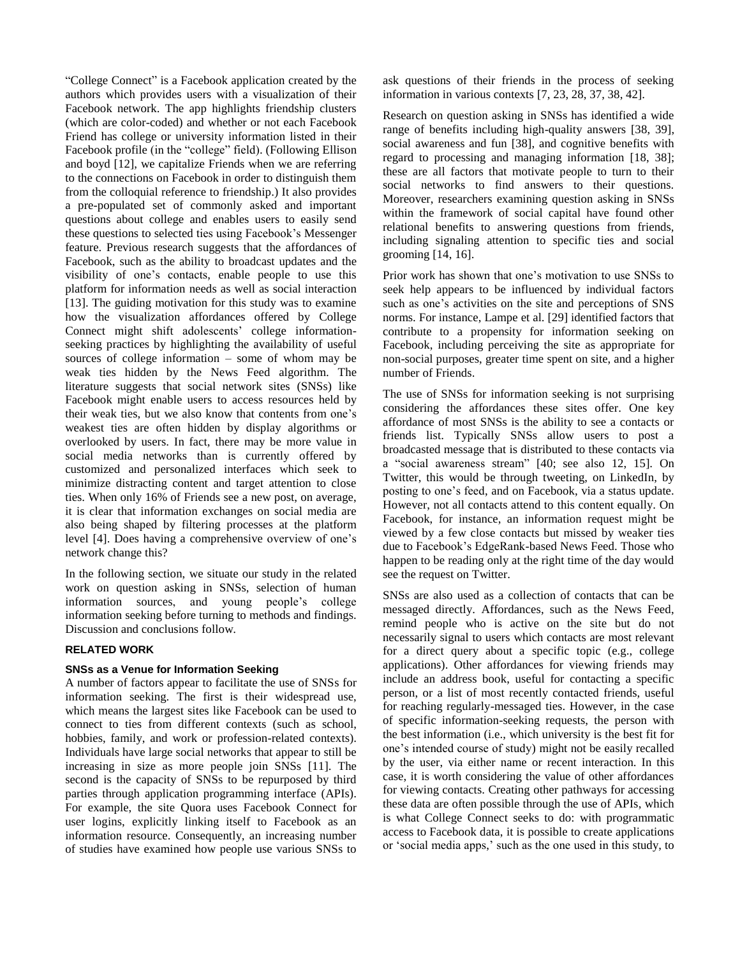"College Connect" is a Facebook application created by the authors which provides users with a visualization of their Facebook network. The app highlights friendship clusters (which are color-coded) and whether or not each Facebook Friend has college or university information listed in their Facebook profile (in the "college" field). (Following Ellison and boyd [12], we capitalize Friends when we are referring to the connections on Facebook in order to distinguish them from the colloquial reference to friendship.) It also provides a pre-populated set of commonly asked and important questions about college and enables users to easily send these questions to selected ties using Facebook's Messenger feature. Previous research suggests that the affordances of Facebook, such as the ability to broadcast updates and the visibility of one's contacts, enable people to use this platform for information needs as well as social interaction [13]. The guiding motivation for this study was to examine how the visualization affordances offered by College Connect might shift adolescents' college informationseeking practices by highlighting the availability of useful sources of college information – some of whom may be weak ties hidden by the News Feed algorithm. The literature suggests that social network sites (SNSs) like Facebook might enable users to access resources held by their weak ties, but we also know that contents from one's weakest ties are often hidden by display algorithms or overlooked by users. In fact, there may be more value in social media networks than is currently offered by customized and personalized interfaces which seek to minimize distracting content and target attention to close ties. When only 16% of Friends see a new post, on average, it is clear that information exchanges on social media are also being shaped by filtering processes at the platform level [4]. Does having a comprehensive overview of one's network change this?

In the following section, we situate our study in the related work on question asking in SNSs, selection of human information sources, and young people's college information seeking before turning to methods and findings. Discussion and conclusions follow.

# **RELATED WORK**

#### **SNSs as a Venue for Information Seeking**

A number of factors appear to facilitate the use of SNSs for information seeking. The first is their widespread use, which means the largest sites like Facebook can be used to connect to ties from different contexts (such as school, hobbies, family, and work or profession-related contexts). Individuals have large social networks that appear to still be increasing in size as more people join SNSs [11]. The second is the capacity of SNSs to be repurposed by third parties through application programming interface (APIs). For example, the site Quora uses Facebook Connect for user logins, explicitly linking itself to Facebook as an information resource. Consequently, an increasing number of studies have examined how people use various SNSs to

ask questions of their friends in the process of seeking information in various contexts [7, 23, 28, 37, 38, 42].

Research on question asking in SNSs has identified a wide range of benefits including high-quality answers [38, 39], social awareness and fun [38], and cognitive benefits with regard to processing and managing information [18, 38]; these are all factors that motivate people to turn to their social networks to find answers to their questions. Moreover, researchers examining question asking in SNSs within the framework of social capital have found other relational benefits to answering questions from friends, including signaling attention to specific ties and social grooming [14, 16].

Prior work has shown that one's motivation to use SNSs to seek help appears to be influenced by individual factors such as one's activities on the site and perceptions of SNS norms. For instance, Lampe et al. [29] identified factors that contribute to a propensity for information seeking on Facebook, including perceiving the site as appropriate for non-social purposes, greater time spent on site, and a higher number of Friends.

The use of SNSs for information seeking is not surprising considering the affordances these sites offer. One key affordance of most SNSs is the ability to see a contacts or friends list. Typically SNSs allow users to post a broadcasted message that is distributed to these contacts via a "social awareness stream" [40; see also 12, 15]. On Twitter, this would be through tweeting, on LinkedIn, by posting to one's feed, and on Facebook, via a status update. However, not all contacts attend to this content equally. On Facebook, for instance, an information request might be viewed by a few close contacts but missed by weaker ties due to Facebook's EdgeRank-based News Feed. Those who happen to be reading only at the right time of the day would see the request on Twitter.

SNSs are also used as a collection of contacts that can be messaged directly. Affordances, such as the News Feed, remind people who is active on the site but do not necessarily signal to users which contacts are most relevant for a direct query about a specific topic (e.g., college applications). Other affordances for viewing friends may include an address book, useful for contacting a specific person, or a list of most recently contacted friends, useful for reaching regularly-messaged ties. However, in the case of specific information-seeking requests, the person with the best information (i.e., which university is the best fit for one's intended course of study) might not be easily recalled by the user, via either name or recent interaction. In this case, it is worth considering the value of other affordances for viewing contacts. Creating other pathways for accessing these data are often possible through the use of APIs, which is what College Connect seeks to do: with programmatic access to Facebook data, it is possible to create applications or 'social media apps,' such as the one used in this study, to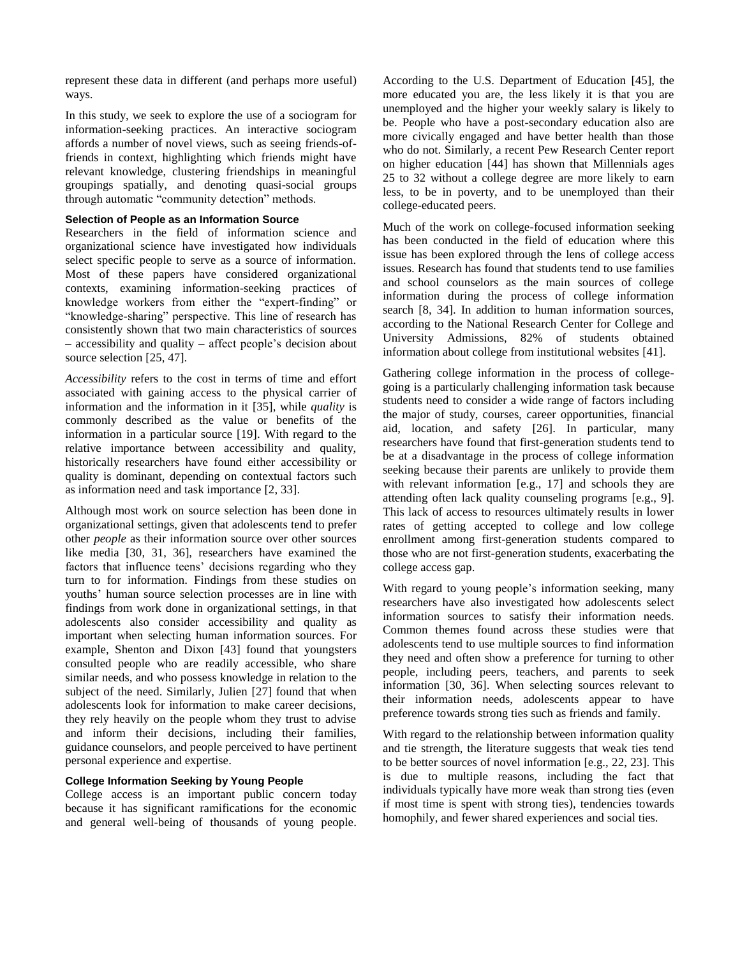represent these data in different (and perhaps more useful) ways.

In this study, we seek to explore the use of a sociogram for information-seeking practices. An interactive sociogram affords a number of novel views, such as seeing friends-offriends in context, highlighting which friends might have relevant knowledge, clustering friendships in meaningful groupings spatially, and denoting quasi-social groups through automatic "community detection" methods.

# **Selection of People as an Information Source**

Researchers in the field of information science and organizational science have investigated how individuals select specific people to serve as a source of information. Most of these papers have considered organizational contexts, examining information-seeking practices of knowledge workers from either the "expert-finding" or "knowledge-sharing" perspective. This line of research has consistently shown that two main characteristics of sources – accessibility and quality – affect people's decision about source selection [25, 47].

*Accessibility* refers to the cost in terms of time and effort associated with gaining access to the physical carrier of information and the information in it [35], while *quality* is commonly described as the value or benefits of the information in a particular source [19]. With regard to the relative importance between accessibility and quality, historically researchers have found either accessibility or quality is dominant, depending on contextual factors such as information need and task importance [2, 33].

Although most work on source selection has been done in organizational settings, given that adolescents tend to prefer other *people* as their information source over other sources like media [30, 31, 36], researchers have examined the factors that influence teens' decisions regarding who they turn to for information. Findings from these studies on youths' human source selection processes are in line with findings from work done in organizational settings, in that adolescents also consider accessibility and quality as important when selecting human information sources. For example, Shenton and Dixon [43] found that youngsters consulted people who are readily accessible, who share similar needs, and who possess knowledge in relation to the subject of the need. Similarly, Julien [27] found that when adolescents look for information to make career decisions, they rely heavily on the people whom they trust to advise and inform their decisions, including their families, guidance counselors, and people perceived to have pertinent personal experience and expertise.

# **College Information Seeking by Young People**

College access is an important public concern today because it has significant ramifications for the economic and general well-being of thousands of young people. According to the U.S. Department of Education [45], the more educated you are, the less likely it is that you are unemployed and the higher your weekly salary is likely to be. People who have a post-secondary education also are more civically engaged and have better health than those who do not. Similarly, a recent Pew Research Center report on higher education [44] has shown that Millennials ages 25 to 32 without a college degree are more likely to earn less, to be in poverty, and to be unemployed than their college-educated peers.

Much of the work on college-focused information seeking has been conducted in the field of education where this issue has been explored through the lens of college access issues. Research has found that students tend to use families and school counselors as the main sources of college information during the process of college information search [8, 34]. In addition to human information sources, according to the National Research Center for College and University Admissions, 82% of students obtained information about college from institutional websites [41].

Gathering college information in the process of collegegoing is a particularly challenging information task because students need to consider a wide range of factors including the major of study, courses, career opportunities, financial aid, location, and safety [26]. In particular, many researchers have found that first-generation students tend to be at a disadvantage in the process of college information seeking because their parents are unlikely to provide them with relevant information [e.g., 17] and schools they are attending often lack quality counseling programs [e.g., 9]. This lack of access to resources ultimately results in lower rates of getting accepted to college and low college enrollment among first-generation students compared to those who are not first-generation students, exacerbating the college access gap.

With regard to young people's information seeking, many researchers have also investigated how adolescents select information sources to satisfy their information needs. Common themes found across these studies were that adolescents tend to use multiple sources to find information they need and often show a preference for turning to other people, including peers, teachers, and parents to seek information [30, 36]. When selecting sources relevant to their information needs, adolescents appear to have preference towards strong ties such as friends and family.

With regard to the relationship between information quality and tie strength, the literature suggests that weak ties tend to be better sources of novel information [e.g., 22, 23]. This is due to multiple reasons, including the fact that individuals typically have more weak than strong ties (even if most time is spent with strong ties), tendencies towards homophily, and fewer shared experiences and social ties.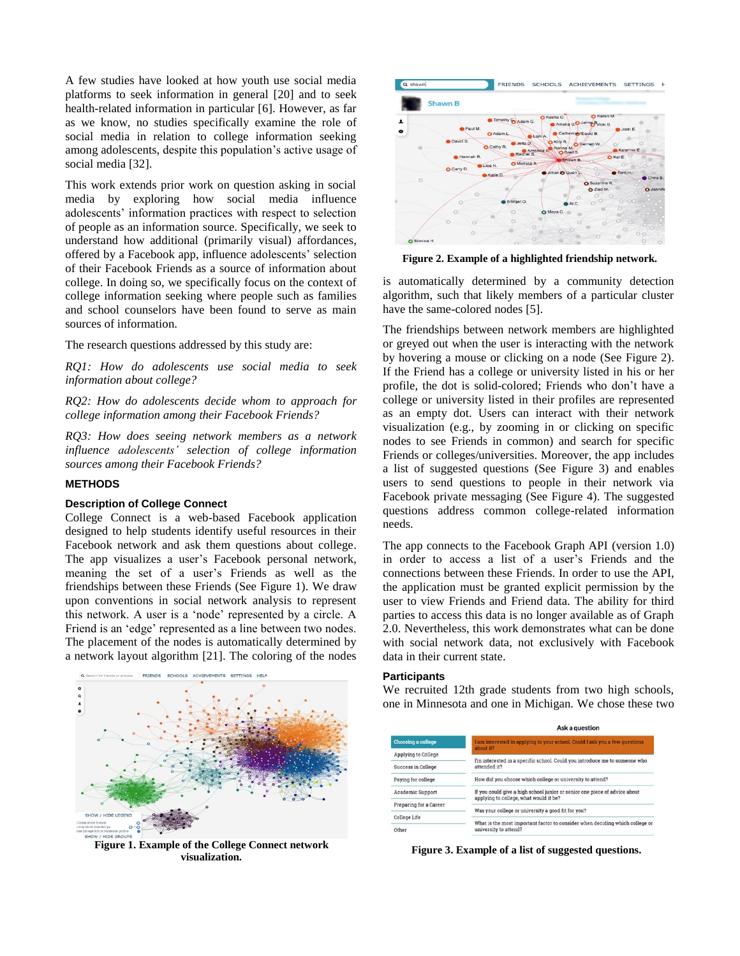A few studies have looked at how youth use social media platforms to seek information in general [20] and to seek health-related information in particular [6]. However, as far as we know, no studies specifically examine the role of social media in relation to college information seeking among adolescents, despite this population's active usage of social media [32].

This work extends prior work on question asking in social media by exploring how social media influence adolescents' information practices with respect to selection of people as an information source. Specifically, we seek to understand how additional (primarily visual) affordances, offered by a Facebook app, influence adolescents' selection of their Facebook Friends as a source of information about college. In doing so, we specifically focus on the context of college information seeking where people such as families and school counselors have been found to serve as main sources of information.

The research questions addressed by this study are:

*RQ1: How do adolescents use social media to seek information about college?*

*RQ2: How do adolescents decide whom to approach for college information among their Facebook Friends?*

*RQ3: How does seeing network members as a network influence adolescents' selection of college information sources among their Facebook Friends?*

#### **METHODS**

#### **Description of College Connect**

College Connect is a web-based Facebook application designed to help students identify useful resources in their Facebook network and ask them questions about college. The app visualizes a user's Facebook personal network, meaning the set of a user's Friends as well as the friendships between these Friends (See Figure 1). We draw upon conventions in social network analysis to represent this network. A user is a 'node' represented by a circle. A Friend is an 'edge' represented as a line between two nodes. The placement of the nodes is automatically determined by a network layout algorithm [21]. The coloring of the nodes



**Figure 1. Example of the College Connect network visualization.**



**Figure 2. Example of a highlighted friendship network.**

is automatically determined by a community detection algorithm, such that likely members of a particular cluster have the same-colored nodes [5].

The friendships between network members are highlighted or greyed out when the user is interacting with the network by hovering a mouse or clicking on a node (See Figure 2). If the Friend has a college or university listed in his or her profile, the dot is solid-colored; Friends who don't have a college or university listed in their profiles are represented as an empty dot. Users can interact with their network visualization (e.g., by zooming in or clicking on specific nodes to see Friends in common) and search for specific Friends or colleges/universities. Moreover, the app includes a list of suggested questions (See Figure 3) and enables users to send questions to people in their network via Facebook private messaging (See Figure 4). The suggested questions address common college-related information needs.

The app connects to the Facebook Graph API (version 1.0) in order to access a list of a user's Friends and the connections between these Friends. In order to use the API, the application must be granted explicit permission by the user to view Friends and Friend data. The ability for third parties to access this data is no longer available as of Graph 2.0. Nevertheless, this work demonstrates what can be done with social network data, not exclusively with Facebook data in their current state.

#### **Participants**

We recruited 12th grade students from two high schools, one in Minnesota and one in Michigan. We chose these two

|                        | Ask a question                                                                                                       |  |  |
|------------------------|----------------------------------------------------------------------------------------------------------------------|--|--|
| Choosing a college     | I am interested in applying to your school, Could I ask you a few questions<br>about it?                             |  |  |
| Applying to College    |                                                                                                                      |  |  |
| Success in College     | I'm interested in a specific school. Could you introduce me to someone who<br>attended it?                           |  |  |
| Paying for college     | How did you choose which college or university to attend?                                                            |  |  |
| Academic Support       | If you could give a high school junior or senior one piece of advice about<br>applying to college, what would it be? |  |  |
| Preparing for a Career |                                                                                                                      |  |  |
|                        | Was your college or university a good fit for you?                                                                   |  |  |
| College Life           | What is the most important factor to consider when deciding which college or                                         |  |  |
| Other                  | university to attend?                                                                                                |  |  |

**Figure 3. Example of a list of suggested questions.**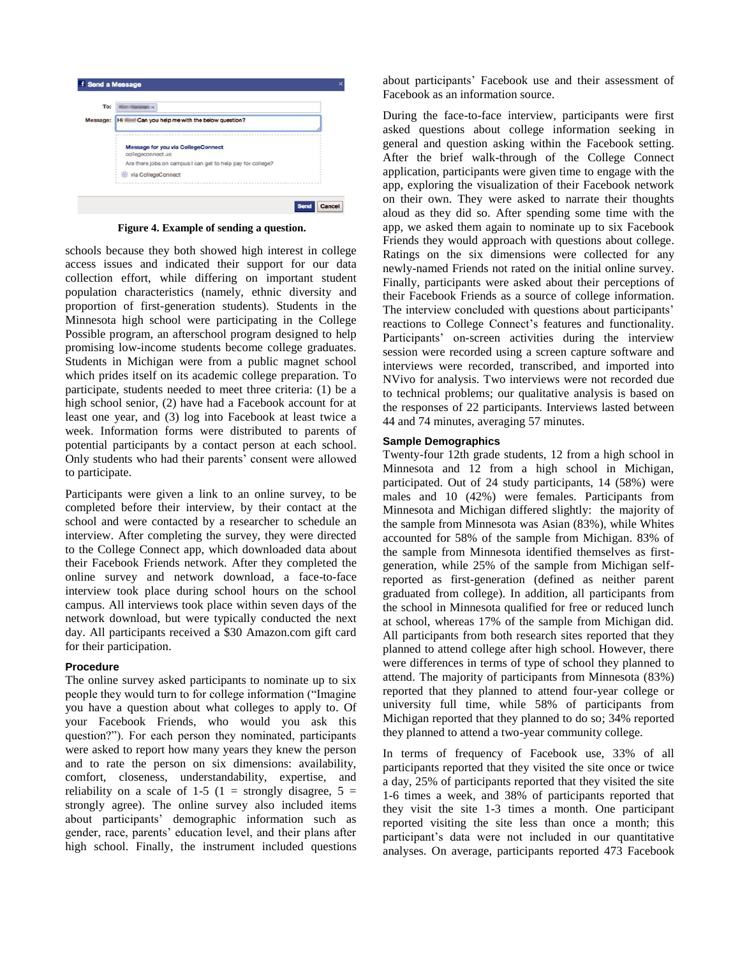

**Figure 4. Example of sending a question.** 

schools because they both showed high interest in college access issues and indicated their support for our data collection effort, while differing on important student population characteristics (namely, ethnic diversity and proportion of first-generation students). Students in the Minnesota high school were participating in the College Possible program, an afterschool program designed to help promising low-income students become college graduates. Students in Michigan were from a public magnet school which prides itself on its academic college preparation. To participate, students needed to meet three criteria: (1) be a high school senior, (2) have had a Facebook account for at least one year, and (3) log into Facebook at least twice a week. Information forms were distributed to parents of potential participants by a contact person at each school. Only students who had their parents' consent were allowed to participate.

Participants were given a link to an online survey, to be completed before their interview, by their contact at the school and were contacted by a researcher to schedule an interview. After completing the survey, they were directed to the College Connect app, which downloaded data about their Facebook Friends network. After they completed the online survey and network download, a face-to-face interview took place during school hours on the school campus. All interviews took place within seven days of the network download, but were typically conducted the next day. All participants received a \$30 Amazon.com gift card for their participation.

# **Procedure**

The online survey asked participants to nominate up to six people they would turn to for college information ("Imagine you have a question about what colleges to apply to. Of your Facebook Friends, who would you ask this question?"). For each person they nominated, participants were asked to report how many years they knew the person and to rate the person on six dimensions: availability, comfort, closeness, understandability, expertise, and reliability on a scale of 1-5 (1 = strongly disagree,  $5 =$ strongly agree). The online survey also included items about participants' demographic information such as gender, race, parents' education level, and their plans after high school. Finally, the instrument included questions

about participants' Facebook use and their assessment of Facebook as an information source.

During the face-to-face interview, participants were first asked questions about college information seeking in general and question asking within the Facebook setting. After the brief walk-through of the College Connect application, participants were given time to engage with the app, exploring the visualization of their Facebook network on their own. They were asked to narrate their thoughts aloud as they did so. After spending some time with the app, we asked them again to nominate up to six Facebook Friends they would approach with questions about college. Ratings on the six dimensions were collected for any newly-named Friends not rated on the initial online survey. Finally, participants were asked about their perceptions of their Facebook Friends as a source of college information. The interview concluded with questions about participants' reactions to College Connect's features and functionality. Participants' on-screen activities during the interview session were recorded using a screen capture software and interviews were recorded, transcribed, and imported into NVivo for analysis. Two interviews were not recorded due to technical problems; our qualitative analysis is based on the responses of 22 participants. Interviews lasted between 44 and 74 minutes, averaging 57 minutes.

# **Sample Demographics**

Twenty-four 12th grade students, 12 from a high school in Minnesota and 12 from a high school in Michigan, participated. Out of 24 study participants, 14 (58%) were males and 10 (42%) were females. Participants from Minnesota and Michigan differed slightly: the majority of the sample from Minnesota was Asian (83%), while Whites accounted for 58% of the sample from Michigan. 83% of the sample from Minnesota identified themselves as firstgeneration, while 25% of the sample from Michigan selfreported as first-generation (defined as neither parent graduated from college). In addition, all participants from the school in Minnesota qualified for free or reduced lunch at school, whereas 17% of the sample from Michigan did. All participants from both research sites reported that they planned to attend college after high school. However, there were differences in terms of type of school they planned to attend. The majority of participants from Minnesota (83%) reported that they planned to attend four-year college or university full time, while 58% of participants from Michigan reported that they planned to do so; 34% reported they planned to attend a two-year community college.

In terms of frequency of Facebook use, 33% of all participants reported that they visited the site once or twice a day, 25% of participants reported that they visited the site 1-6 times a week, and 38% of participants reported that they visit the site 1-3 times a month. One participant reported visiting the site less than once a month; this participant's data were not included in our quantitative analyses. On average, participants reported 473 Facebook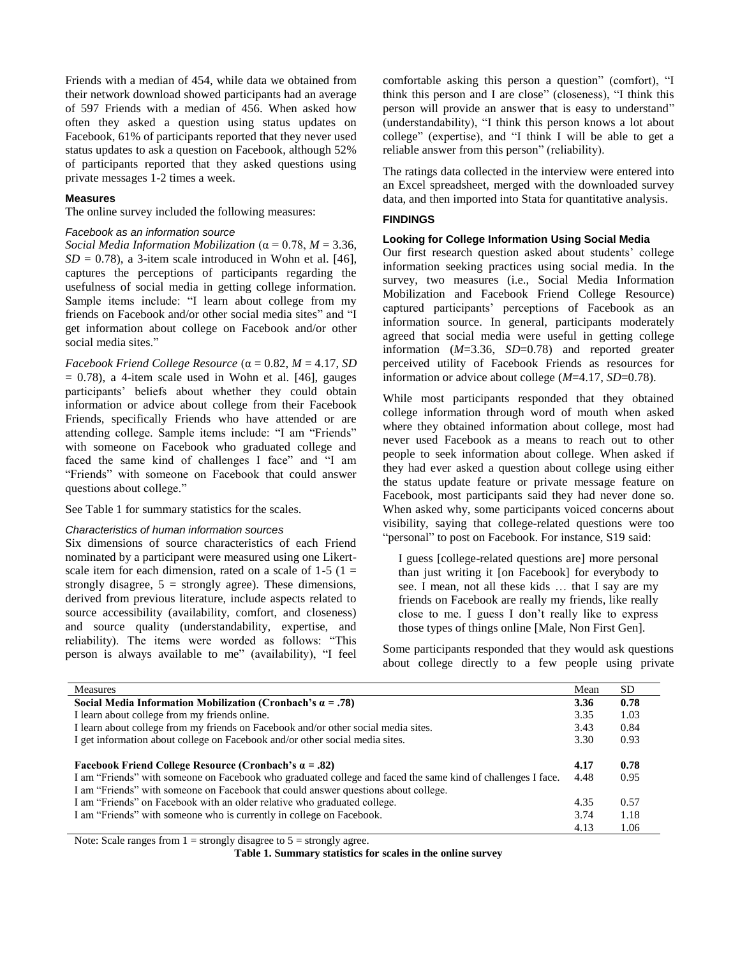Friends with a median of 454, while data we obtained from their network download showed participants had an average of 597 Friends with a median of 456. When asked how often they asked a question using status updates on Facebook, 61% of participants reported that they never used status updates to ask a question on Facebook, although 52% of participants reported that they asked questions using private messages 1-2 times a week.

#### **Measures**

The online survey included the following measures:

#### *Facebook as an information source*

*Social Media Information Mobilization* (α = 0.78, *M* = 3.36,  $SD = 0.78$ ), a 3-item scale introduced in Wohn et al. [46], captures the perceptions of participants regarding the usefulness of social media in getting college information. Sample items include: "I learn about college from my friends on Facebook and/or other social media sites" and "I get information about college on Facebook and/or other social media sites."

*Facebook Friend College Resource*  $(\alpha = 0.82, M = 4.17, SD)$  $= 0.78$ ), a 4-item scale used in Wohn et al. [46], gauges participants' beliefs about whether they could obtain information or advice about college from their Facebook Friends, specifically Friends who have attended or are attending college. Sample items include: "I am "Friends" with someone on Facebook who graduated college and faced the same kind of challenges I face" and "I am "Friends" with someone on Facebook that could answer questions about college."

See Table 1 for summary statistics for the scales.

#### *Characteristics of human information sources*

Six dimensions of source characteristics of each Friend nominated by a participant were measured using one Likertscale item for each dimension, rated on a scale of  $1-5$  ( $1 =$ strongly disagree,  $5 =$  strongly agree). These dimensions, derived from previous literature, include aspects related to source accessibility (availability, comfort, and closeness) and source quality (understandability, expertise, and reliability). The items were worded as follows: "This person is always available to me" (availability), "I feel comfortable asking this person a question" (comfort), "I think this person and I are close" (closeness), "I think this person will provide an answer that is easy to understand" (understandability), "I think this person knows a lot about college" (expertise), and "I think I will be able to get a reliable answer from this person" (reliability).

The ratings data collected in the interview were entered into an Excel spreadsheet, merged with the downloaded survey data, and then imported into Stata for quantitative analysis.

# **FINDINGS**

#### **Looking for College Information Using Social Media**

Our first research question asked about students' college information seeking practices using social media. In the survey, two measures (i.e., Social Media Information Mobilization and Facebook Friend College Resource) captured participants' perceptions of Facebook as an information source. In general, participants moderately agreed that social media were useful in getting college information (*M*=3.36, *SD*=0.78) and reported greater perceived utility of Facebook Friends as resources for information or advice about college (*M*=4.17, *SD*=0.78).

While most participants responded that they obtained college information through word of mouth when asked where they obtained information about college, most had never used Facebook as a means to reach out to other people to seek information about college. When asked if they had ever asked a question about college using either the status update feature or private message feature on Facebook, most participants said they had never done so. When asked why, some participants voiced concerns about visibility, saying that college-related questions were too "personal" to post on Facebook. For instance, S19 said:

I guess [college-related questions are] more personal than just writing it [on Facebook] for everybody to see. I mean, not all these kids … that I say are my friends on Facebook are really my friends, like really close to me. I guess I don't really like to express those types of things online [Male, Non First Gen].

Some participants responded that they would ask questions about college directly to a few people using private

| <b>Measures</b>                                                                                             | Mean | SD   |
|-------------------------------------------------------------------------------------------------------------|------|------|
| Social Media Information Mobilization (Cronbach's $\alpha = .78$ )                                          | 3.36 | 0.78 |
| I learn about college from my friends online.                                                               | 3.35 | 1.03 |
| I learn about college from my friends on Facebook and/or other social media sites.                          | 3.43 | 0.84 |
| I get information about college on Facebook and/or other social media sites.                                | 3.30 | 0.93 |
|                                                                                                             |      |      |
| <b>Facebook Friend College Resource (Cronbach's <math>\alpha = .82</math>)</b>                              | 4.17 | 0.78 |
| I am "Friends" with someone on Facebook who graduated college and faced the same kind of challenges I face. | 4.48 | 0.95 |
| I am "Friends" with someone on Facebook that could answer questions about college.                          |      |      |
| I am "Friends" on Facebook with an older relative who graduated college.                                    | 4.35 | 0.57 |
| I am "Friends" with someone who is currently in college on Facebook.                                        | 3.74 | 1.18 |
|                                                                                                             | 4.13 | 1.06 |

Note: Scale ranges from  $1 =$  strongly disagree to  $5 =$  strongly agree.

**Table 1. Summary statistics for scales in the online survey**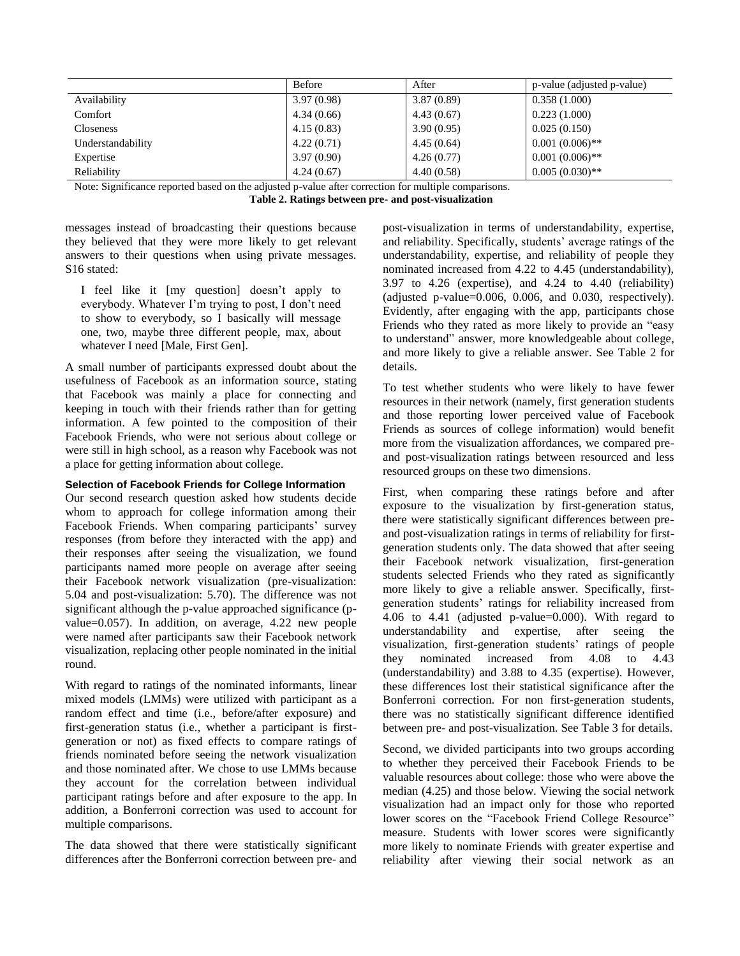|                   | <b>Before</b> | After      | p-value (adjusted p-value) |
|-------------------|---------------|------------|----------------------------|
| Availability      | 3.97(0.98)    | 3.87(0.89) | 0.358(1.000)               |
| Comfort           | 4.34(0.66)    | 4.43(0.67) | 0.223(1.000)               |
| <b>Closeness</b>  | 4.15(0.83)    | 3.90(0.95) | 0.025(0.150)               |
| Understandability | 4.22(0.71)    | 4.45(0.64) | $0.001(0.006)$ **          |
| Expertise         | 3.97(0.90)    | 4.26(0.77) | $0.001(0.006)$ **          |
| Reliability       | 4.24(0.67)    | 4.40(0.58) | $0.005(0.030)$ **          |

Note: Significance reported based on the adjusted p-value after correction for multiple comparisons.

**Table 2. Ratings between pre- and post-visualization**

messages instead of broadcasting their questions because they believed that they were more likely to get relevant answers to their questions when using private messages. S16 stated:

I feel like it [my question] doesn't apply to everybody. Whatever I'm trying to post, I don't need to show to everybody, so I basically will message one, two, maybe three different people, max, about whatever I need [Male, First Gen].

A small number of participants expressed doubt about the usefulness of Facebook as an information source, stating that Facebook was mainly a place for connecting and keeping in touch with their friends rather than for getting information. A few pointed to the composition of their Facebook Friends, who were not serious about college or were still in high school, as a reason why Facebook was not a place for getting information about college.

# **Selection of Facebook Friends for College Information**

Our second research question asked how students decide whom to approach for college information among their Facebook Friends. When comparing participants' survey responses (from before they interacted with the app) and their responses after seeing the visualization, we found participants named more people on average after seeing their Facebook network visualization (pre-visualization: 5.04 and post-visualization: 5.70). The difference was not significant although the p-value approached significance (pvalue=0.057). In addition, on average, 4.22 new people were named after participants saw their Facebook network visualization, replacing other people nominated in the initial round.

With regard to ratings of the nominated informants, linear mixed models (LMMs) were utilized with participant as a random effect and time (i.e., before/after exposure) and first-generation status (i.e., whether a participant is firstgeneration or not) as fixed effects to compare ratings of friends nominated before seeing the network visualization and those nominated after. We chose to use LMMs because they account for the correlation between individual participant ratings before and after exposure to the app. In addition, a Bonferroni correction was used to account for multiple comparisons.

The data showed that there were statistically significant differences after the Bonferroni correction between pre- and post-visualization in terms of understandability, expertise, and reliability. Specifically, students' average ratings of the understandability, expertise, and reliability of people they nominated increased from 4.22 to 4.45 (understandability), 3.97 to 4.26 (expertise), and 4.24 to 4.40 (reliability) (adjusted p-value=0.006, 0.006, and 0.030, respectively). Evidently, after engaging with the app, participants chose Friends who they rated as more likely to provide an "easy to understand" answer, more knowledgeable about college, and more likely to give a reliable answer. See Table 2 for details.

To test whether students who were likely to have fewer resources in their network (namely, first generation students and those reporting lower perceived value of Facebook Friends as sources of college information) would benefit more from the visualization affordances, we compared preand post-visualization ratings between resourced and less resourced groups on these two dimensions.

First, when comparing these ratings before and after exposure to the visualization by first-generation status, there were statistically significant differences between preand post-visualization ratings in terms of reliability for firstgeneration students only. The data showed that after seeing their Facebook network visualization, first-generation students selected Friends who they rated as significantly more likely to give a reliable answer. Specifically, firstgeneration students' ratings for reliability increased from 4.06 to 4.41 (adjusted p-value=0.000). With regard to understandability and expertise, after seeing the visualization, first-generation students' ratings of people they nominated increased from 4.08 to 4.43 (understandability) and 3.88 to 4.35 (expertise). However, these differences lost their statistical significance after the Bonferroni correction. For non first-generation students, there was no statistically significant difference identified between pre- and post-visualization. See Table 3 for details.

Second, we divided participants into two groups according to whether they perceived their Facebook Friends to be valuable resources about college: those who were above the median (4.25) and those below. Viewing the social network visualization had an impact only for those who reported lower scores on the "Facebook Friend College Resource" measure. Students with lower scores were significantly more likely to nominate Friends with greater expertise and reliability after viewing their social network as an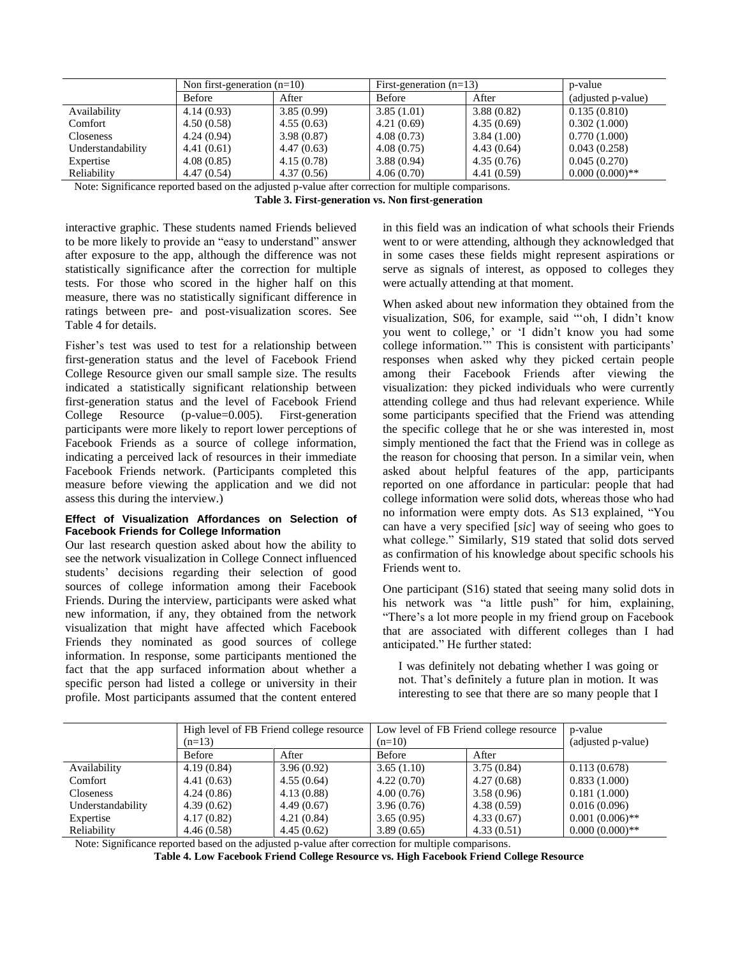|                   | Non first-generation $(n=10)$ |            | First-generation $(n=13)$ |             | p-value            |
|-------------------|-------------------------------|------------|---------------------------|-------------|--------------------|
|                   | <b>Before</b>                 | After      | Before                    | After       | (adjusted p-value) |
| Availability      | 4.14(0.93)                    | 3.85(0.99) | 3.85(1.01)                | 3.88(0.82)  | 0.135(0.810)       |
| Comfort           | 4.50(0.58)                    | 4.55(0.63) | 4.21(0.69)                | 4.35(0.69)  | 0.302(1.000)       |
| <b>Closeness</b>  | 4.24(0.94)                    | 3.98(0.87) | 4.08(0.73)                | 3.84(1.00)  | 0.770(1.000)       |
| Understandability | 4.41(0.61)                    | 4.47(0.63) | 4.08(0.75)                | 4.43(0.64)  | 0.043(0.258)       |
| Expertise         | 4.08(0.85)                    | 4.15(0.78) | 3.88(0.94)                | 4.35(0.76)  | 0.045(0.270)       |
| Reliability       | 4.47(0.54)                    | 4.37(0.56) | 4.06(0.70)                | 4.41 (0.59) | $0.000(0.000)**$   |

Note: Significance reported based on the adjusted p-value after correction for multiple comparisons.

**Table 3. First-generation vs. Non first-generation**

interactive graphic. These students named Friends believed to be more likely to provide an "easy to understand" answer after exposure to the app, although the difference was not statistically significance after the correction for multiple tests. For those who scored in the higher half on this measure, there was no statistically significant difference in ratings between pre- and post-visualization scores. See Table 4 for details.

Fisher's test was used to test for a relationship between first-generation status and the level of Facebook Friend College Resource given our small sample size. The results indicated a statistically significant relationship between first-generation status and the level of Facebook Friend College Resource (p-value=0.005). First-generation participants were more likely to report lower perceptions of Facebook Friends as a source of college information, indicating a perceived lack of resources in their immediate Facebook Friends network. (Participants completed this measure before viewing the application and we did not assess this during the interview.)

#### **Effect of Visualization Affordances on Selection of Facebook Friends for College Information**

Our last research question asked about how the ability to see the network visualization in College Connect influenced students' decisions regarding their selection of good sources of college information among their Facebook Friends. During the interview, participants were asked what new information, if any, they obtained from the network visualization that might have affected which Facebook Friends they nominated as good sources of college information. In response, some participants mentioned the fact that the app surfaced information about whether a specific person had listed a college or university in their profile. Most participants assumed that the content entered

in this field was an indication of what schools their Friends went to or were attending, although they acknowledged that in some cases these fields might represent aspirations or serve as signals of interest, as opposed to colleges they were actually attending at that moment.

When asked about new information they obtained from the visualization, S06, for example, said "'oh, I didn't know you went to college,' or 'I didn't know you had some college information.'" This is consistent with participants' responses when asked why they picked certain people among their Facebook Friends after viewing the visualization: they picked individuals who were currently attending college and thus had relevant experience. While some participants specified that the Friend was attending the specific college that he or she was interested in, most simply mentioned the fact that the Friend was in college as the reason for choosing that person. In a similar vein, when asked about helpful features of the app, participants reported on one affordance in particular: people that had college information were solid dots, whereas those who had no information were empty dots. As S13 explained, "You can have a very specified [*sic*] way of seeing who goes to what college." Similarly, S19 stated that solid dots served as confirmation of his knowledge about specific schools his Friends went to.

One participant (S16) stated that seeing many solid dots in his network was "a little push" for him, explaining, "There's a lot more people in my friend group on Facebook that are associated with different colleges than I had anticipated." He further stated:

I was definitely not debating whether I was going or not. That's definitely a future plan in motion. It was interesting to see that there are so many people that I

|                   | High level of FB Friend college resource<br>$(n=13)$ |            | Low level of FB Friend college resource<br>$(n=10)$ |            | p-value            |
|-------------------|------------------------------------------------------|------------|-----------------------------------------------------|------------|--------------------|
|                   |                                                      |            |                                                     |            | (adjusted p-value) |
|                   | Before                                               | After      | Before                                              | After      |                    |
| Availability      | 4.19(0.84)                                           | 3.96(0.92) | 3.65(1.10)                                          | 3.75(0.84) | 0.113(0.678)       |
| Comfort           | 4.41(0.63)                                           | 4.55(0.64) | 4.22(0.70)                                          | 4.27(0.68) | 0.833(1.000)       |
| <b>Closeness</b>  | 4.24(0.86)                                           | 4.13(0.88) | 4.00(0.76)                                          | 3.58(0.96) | 0.181(1.000)       |
| Understandability | 4.39(0.62)                                           | 4.49(0.67) | 3.96(0.76)                                          | 4.38(0.59) | 0.016(0.096)       |
| Expertise         | 4.17(0.82)                                           | 4.21(0.84) | 3.65(0.95)                                          | 4.33(0.67) | $0.001(0.006)$ **  |
| Reliability       | 4.46(0.58)                                           | 4.45(0.62) | 3.89(0.65)                                          | 4.33(0.51) | $0.000(0.000)$ **  |

Note: Significance reported based on the adjusted p-value after correction for multiple comparisons.

**Table 4. Low Facebook Friend College Resource vs. High Facebook Friend College Resource**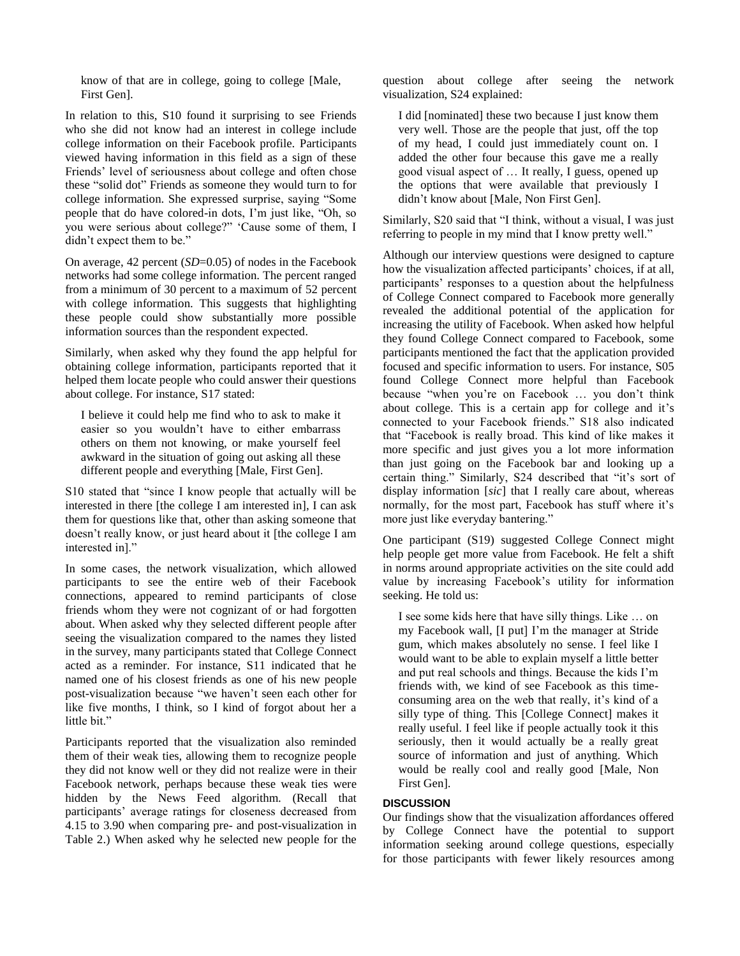know of that are in college, going to college [Male, First Gen].

In relation to this, S10 found it surprising to see Friends who she did not know had an interest in college include college information on their Facebook profile. Participants viewed having information in this field as a sign of these Friends' level of seriousness about college and often chose these "solid dot" Friends as someone they would turn to for college information. She expressed surprise, saying "Some people that do have colored-in dots, I'm just like, "Oh, so you were serious about college?" 'Cause some of them, I didn't expect them to be."

On average, 42 percent (*SD*=0.05) of nodes in the Facebook networks had some college information. The percent ranged from a minimum of 30 percent to a maximum of 52 percent with college information. This suggests that highlighting these people could show substantially more possible information sources than the respondent expected.

Similarly, when asked why they found the app helpful for obtaining college information, participants reported that it helped them locate people who could answer their questions about college. For instance, S17 stated:

I believe it could help me find who to ask to make it easier so you wouldn't have to either embarrass others on them not knowing, or make yourself feel awkward in the situation of going out asking all these different people and everything [Male, First Gen].

S10 stated that "since I know people that actually will be interested in there [the college I am interested in], I can ask them for questions like that, other than asking someone that doesn't really know, or just heard about it [the college I am interested in]."

In some cases, the network visualization, which allowed participants to see the entire web of their Facebook connections, appeared to remind participants of close friends whom they were not cognizant of or had forgotten about. When asked why they selected different people after seeing the visualization compared to the names they listed in the survey, many participants stated that College Connect acted as a reminder. For instance, S11 indicated that he named one of his closest friends as one of his new people post-visualization because "we haven't seen each other for like five months, I think, so I kind of forgot about her a little bit."

Participants reported that the visualization also reminded them of their weak ties, allowing them to recognize people they did not know well or they did not realize were in their Facebook network, perhaps because these weak ties were hidden by the News Feed algorithm. (Recall that participants' average ratings for closeness decreased from 4.15 to 3.90 when comparing pre- and post-visualization in Table 2.) When asked why he selected new people for the

question about college after seeing the network visualization, S24 explained:

I did [nominated] these two because I just know them very well. Those are the people that just, off the top of my head, I could just immediately count on. I added the other four because this gave me a really good visual aspect of … It really, I guess, opened up the options that were available that previously I didn't know about [Male, Non First Gen].

Similarly, S20 said that "I think, without a visual, I was just referring to people in my mind that I know pretty well."

Although our interview questions were designed to capture how the visualization affected participants' choices, if at all, participants' responses to a question about the helpfulness of College Connect compared to Facebook more generally revealed the additional potential of the application for increasing the utility of Facebook. When asked how helpful they found College Connect compared to Facebook, some participants mentioned the fact that the application provided focused and specific information to users. For instance, S05 found College Connect more helpful than Facebook because "when you're on Facebook … you don't think about college. This is a certain app for college and it's connected to your Facebook friends." S18 also indicated that "Facebook is really broad. This kind of like makes it more specific and just gives you a lot more information than just going on the Facebook bar and looking up a certain thing." Similarly, S24 described that "it's sort of display information [*sic*] that I really care about, whereas normally, for the most part, Facebook has stuff where it's more just like everyday bantering."

One participant (S19) suggested College Connect might help people get more value from Facebook. He felt a shift in norms around appropriate activities on the site could add value by increasing Facebook's utility for information seeking. He told us:

I see some kids here that have silly things. Like … on my Facebook wall, [I put] I'm the manager at Stride gum, which makes absolutely no sense. I feel like I would want to be able to explain myself a little better and put real schools and things. Because the kids I'm friends with, we kind of see Facebook as this timeconsuming area on the web that really, it's kind of a silly type of thing. This [College Connect] makes it really useful. I feel like if people actually took it this seriously, then it would actually be a really great source of information and just of anything. Which would be really cool and really good [Male, Non First Gen].

# **DISCUSSION**

Our findings show that the visualization affordances offered by College Connect have the potential to support information seeking around college questions, especially for those participants with fewer likely resources among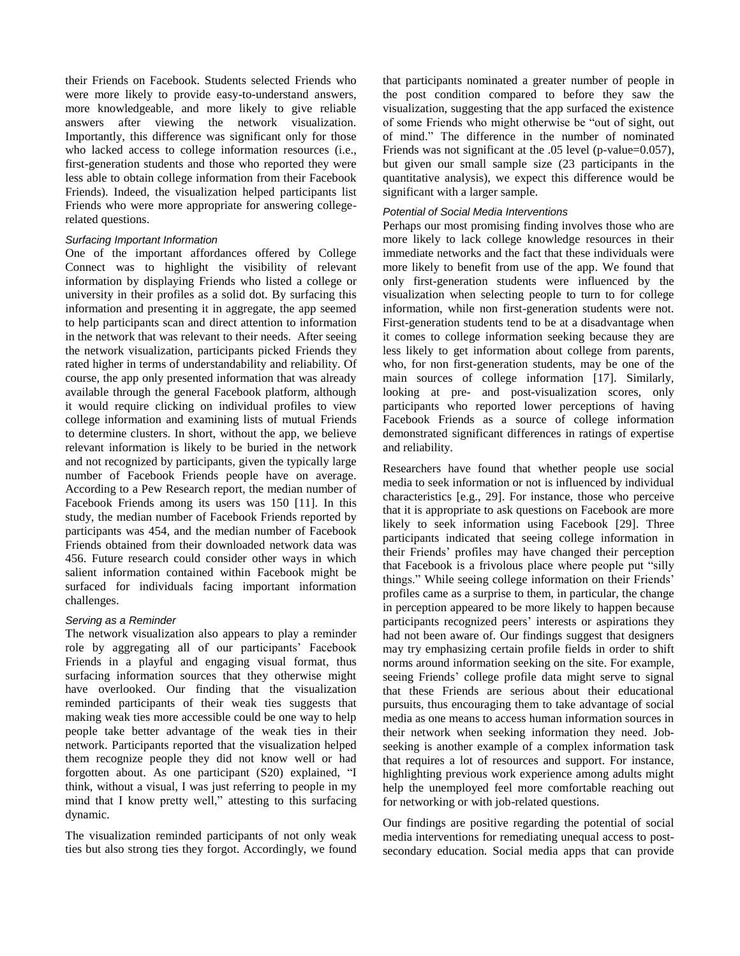their Friends on Facebook. Students selected Friends who were more likely to provide easy-to-understand answers, more knowledgeable, and more likely to give reliable answers after viewing the network visualization. Importantly, this difference was significant only for those who lacked access to college information resources (i.e., first-generation students and those who reported they were less able to obtain college information from their Facebook Friends). Indeed, the visualization helped participants list Friends who were more appropriate for answering collegerelated questions.

# *Surfacing Important Information*

One of the important affordances offered by College Connect was to highlight the visibility of relevant information by displaying Friends who listed a college or university in their profiles as a solid dot. By surfacing this information and presenting it in aggregate, the app seemed to help participants scan and direct attention to information in the network that was relevant to their needs. After seeing the network visualization, participants picked Friends they rated higher in terms of understandability and reliability. Of course, the app only presented information that was already available through the general Facebook platform, although it would require clicking on individual profiles to view college information and examining lists of mutual Friends to determine clusters. In short, without the app, we believe relevant information is likely to be buried in the network and not recognized by participants, given the typically large number of Facebook Friends people have on average. According to a Pew Research report, the median number of Facebook Friends among its users was 150 [11]. In this study, the median number of Facebook Friends reported by participants was 454, and the median number of Facebook Friends obtained from their downloaded network data was 456. Future research could consider other ways in which salient information contained within Facebook might be surfaced for individuals facing important information challenges.

# *Serving as a Reminder*

The network visualization also appears to play a reminder role by aggregating all of our participants' Facebook Friends in a playful and engaging visual format, thus surfacing information sources that they otherwise might have overlooked. Our finding that the visualization reminded participants of their weak ties suggests that making weak ties more accessible could be one way to help people take better advantage of the weak ties in their network. Participants reported that the visualization helped them recognize people they did not know well or had forgotten about. As one participant (S20) explained, "I think, without a visual, I was just referring to people in my mind that I know pretty well," attesting to this surfacing dynamic.

The visualization reminded participants of not only weak ties but also strong ties they forgot. Accordingly, we found that participants nominated a greater number of people in the post condition compared to before they saw the visualization, suggesting that the app surfaced the existence of some Friends who might otherwise be "out of sight, out of mind." The difference in the number of nominated Friends was not significant at the .05 level (p-value=0.057), but given our small sample size (23 participants in the quantitative analysis), we expect this difference would be significant with a larger sample.

# *Potential of Social Media Interventions*

Perhaps our most promising finding involves those who are more likely to lack college knowledge resources in their immediate networks and the fact that these individuals were more likely to benefit from use of the app. We found that only first-generation students were influenced by the visualization when selecting people to turn to for college information, while non first-generation students were not. First-generation students tend to be at a disadvantage when it comes to college information seeking because they are less likely to get information about college from parents, who, for non first-generation students, may be one of the main sources of college information [17]. Similarly, looking at pre- and post-visualization scores, only participants who reported lower perceptions of having Facebook Friends as a source of college information demonstrated significant differences in ratings of expertise and reliability.

Researchers have found that whether people use social media to seek information or not is influenced by individual characteristics [e.g., 29]. For instance, those who perceive that it is appropriate to ask questions on Facebook are more likely to seek information using Facebook [29]. Three participants indicated that seeing college information in their Friends' profiles may have changed their perception that Facebook is a frivolous place where people put "silly things." While seeing college information on their Friends' profiles came as a surprise to them, in particular, the change in perception appeared to be more likely to happen because participants recognized peers' interests or aspirations they had not been aware of. Our findings suggest that designers may try emphasizing certain profile fields in order to shift norms around information seeking on the site. For example, seeing Friends' college profile data might serve to signal that these Friends are serious about their educational pursuits, thus encouraging them to take advantage of social media as one means to access human information sources in their network when seeking information they need. Jobseeking is another example of a complex information task that requires a lot of resources and support. For instance, highlighting previous work experience among adults might help the unemployed feel more comfortable reaching out for networking or with job-related questions.

Our findings are positive regarding the potential of social media interventions for remediating unequal access to postsecondary education. Social media apps that can provide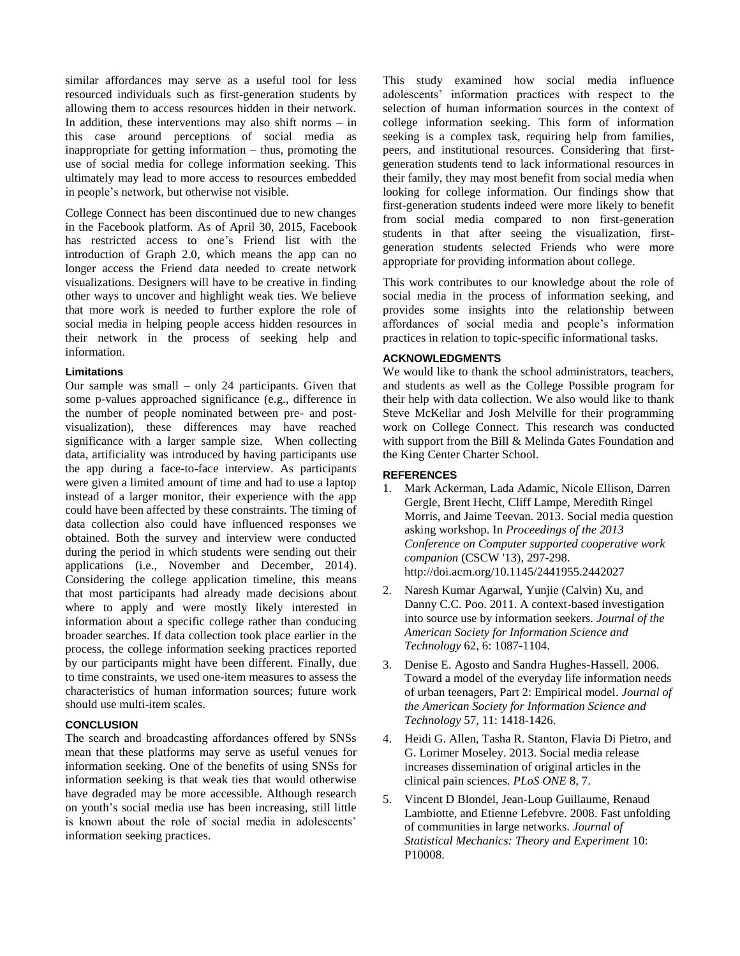similar affordances may serve as a useful tool for less resourced individuals such as first-generation students by allowing them to access resources hidden in their network. In addition, these interventions may also shift norms – in this case around perceptions of social media as inappropriate for getting information – thus, promoting the use of social media for college information seeking. This ultimately may lead to more access to resources embedded in people's network, but otherwise not visible.

College Connect has been discontinued due to new changes in the Facebook platform. As of April 30, 2015, Facebook has restricted access to one's Friend list with the introduction of Graph 2.0, which means the app can no longer access the Friend data needed to create network visualizations. Designers will have to be creative in finding other ways to uncover and highlight weak ties. We believe that more work is needed to further explore the role of social media in helping people access hidden resources in their network in the process of seeking help and information.

# **Limitations**

Our sample was small – only 24 participants. Given that some p-values approached significance (e.g., difference in the number of people nominated between pre- and postvisualization), these differences may have reached significance with a larger sample size. When collecting data, artificiality was introduced by having participants use the app during a face-to-face interview. As participants were given a limited amount of time and had to use a laptop instead of a larger monitor, their experience with the app could have been affected by these constraints. The timing of data collection also could have influenced responses we obtained. Both the survey and interview were conducted during the period in which students were sending out their applications (i.e., November and December, 2014). Considering the college application timeline, this means that most participants had already made decisions about where to apply and were mostly likely interested in information about a specific college rather than conducing broader searches. If data collection took place earlier in the process, the college information seeking practices reported by our participants might have been different. Finally, due to time constraints, we used one-item measures to assess the characteristics of human information sources; future work should use multi-item scales.

# **CONCLUSION**

The search and broadcasting affordances offered by SNSs mean that these platforms may serve as useful venues for information seeking. One of the benefits of using SNSs for information seeking is that weak ties that would otherwise have degraded may be more accessible. Although research on youth's social media use has been increasing, still little is known about the role of social media in adolescents' information seeking practices.

This study examined how social media influence adolescents' information practices with respect to the selection of human information sources in the context of college information seeking. This form of information seeking is a complex task, requiring help from families, peers, and institutional resources. Considering that firstgeneration students tend to lack informational resources in their family, they may most benefit from social media when looking for college information. Our findings show that first-generation students indeed were more likely to benefit from social media compared to non first-generation students in that after seeing the visualization, firstgeneration students selected Friends who were more appropriate for providing information about college.

This work contributes to our knowledge about the role of social media in the process of information seeking, and provides some insights into the relationship between affordances of social media and people's information practices in relation to topic-specific informational tasks.

# **ACKNOWLEDGMENTS**

We would like to thank the school administrators, teachers, and students as well as the College Possible program for their help with data collection. We also would like to thank Steve McKellar and Josh Melville for their programming work on College Connect. This research was conducted with support from the Bill & Melinda Gates Foundation and the King Center Charter School.

# **REFERENCES**

- 1. Mark Ackerman, Lada Adamic, Nicole Ellison, Darren Gergle, Brent Hecht, Cliff Lampe, Meredith Ringel Morris, and Jaime Teevan. 2013. Social media question asking workshop. In *Proceedings of the 2013 Conference on Computer supported cooperative work companion* (CSCW '13), 297-298. http://doi.acm.org/10.1145/2441955.2442027
- 2. Naresh Kumar Agarwal, Yunjie (Calvin) Xu, and Danny C.C. Poo. 2011. A context-based investigation into source use by information seekers. *Journal of the American Society for Information Science and Technology* 62, 6: 1087-1104.
- 3. Denise E. Agosto and Sandra Hughes-Hassell. 2006. Toward a model of the everyday life information needs of urban teenagers, Part 2: Empirical model. *Journal of the American Society for Information Science and Technology* 57, 11: 1418-1426.
- 4. Heidi G. Allen, Tasha R. Stanton, Flavia Di Pietro, and G. Lorimer Moseley. 2013. Social media release increases dissemination of original articles in the clinical pain sciences. *PLoS ONE* 8, 7.
- 5. Vincent D Blondel, Jean-Loup Guillaume, Renaud Lambiotte, and Etienne Lefebvre. 2008. Fast unfolding of communities in large networks. *Journal of Statistical Mechanics: Theory and Experiment* 10: P10008.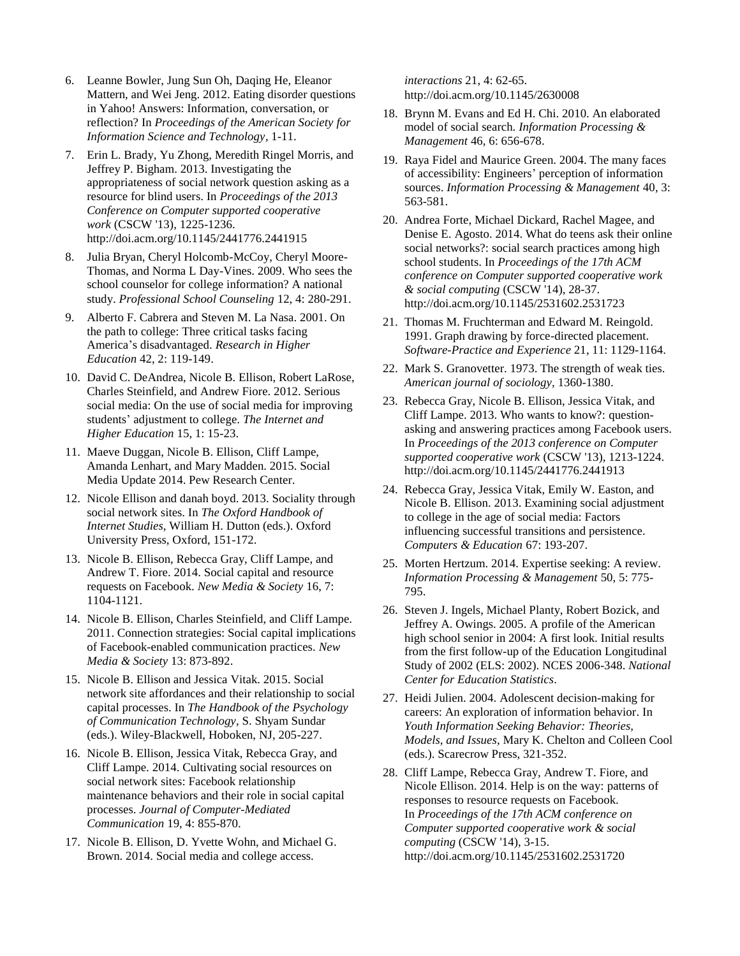- 6. Leanne Bowler, Jung Sun Oh, Daqing He, Eleanor Mattern, and Wei Jeng. 2012. Eating disorder questions in Yahoo! Answers: Information, conversation, or reflection? In *Proceedings of the American Society for Information Science and Technology*, 1-11.
- 7. Erin L. Brady, Yu Zhong, Meredith Ringel Morris, and Jeffrey P. Bigham. 2013. Investigating the appropriateness of social network question asking as a resource for blind users. In *Proceedings of the 2013 Conference on Computer supported cooperative work* (CSCW '13), 1225-1236. http://doi.acm.org/10.1145/2441776.2441915
- 8. Julia Bryan, Cheryl Holcomb-McCoy, Cheryl Moore-Thomas, and Norma L Day-Vines. 2009. Who sees the school counselor for college information? A national study. *Professional School Counseling* 12, 4: 280-291.
- 9. Alberto F. Cabrera and Steven M. La Nasa. 2001. On the path to college: Three critical tasks facing America's disadvantaged. *Research in Higher Education* 42, 2: 119-149.
- 10. David C. DeAndrea, Nicole B. Ellison, Robert LaRose, Charles Steinfield, and Andrew Fiore. 2012. Serious social media: On the use of social media for improving students' adjustment to college. *The Internet and Higher Education* 15, 1: 15-23.
- 11. Maeve Duggan, Nicole B. Ellison, Cliff Lampe, Amanda Lenhart, and Mary Madden. 2015. Social Media Update 2014. Pew Research Center.
- 12. Nicole Ellison and danah boyd. 2013. Sociality through social network sites. In *The Oxford Handbook of Internet Studies*, William H. Dutton (eds.). Oxford University Press, Oxford, 151-172.
- 13. Nicole B. Ellison, Rebecca Gray, Cliff Lampe, and Andrew T. Fiore. 2014. Social capital and resource requests on Facebook. *New Media & Society* 16, 7: 1104-1121.
- 14. Nicole B. Ellison, Charles Steinfield, and Cliff Lampe. 2011. Connection strategies: Social capital implications of Facebook-enabled communication practices. *New Media & Society* 13: 873-892.
- 15. Nicole B. Ellison and Jessica Vitak. 2015. Social network site affordances and their relationship to social capital processes. In *The Handbook of the Psychology of Communication Technology*, S. Shyam Sundar (eds.). Wiley-Blackwell, Hoboken, NJ, 205-227.
- 16. Nicole B. Ellison, Jessica Vitak, Rebecca Gray, and Cliff Lampe. 2014. Cultivating social resources on social network sites: Facebook relationship maintenance behaviors and their role in social capital processes. *Journal of Computer-Mediated Communication* 19, 4: 855-870.
- 17. Nicole B. Ellison, D. Yvette Wohn, and Michael G. Brown. 2014. Social media and college access.

*interactions* 21, 4: 62-65. http://doi.acm.org/10.1145/2630008

- 18. Brynn M. Evans and Ed H. Chi. 2010. An elaborated model of social search. *Information Processing & Management* 46, 6: 656-678.
- 19. Raya Fidel and Maurice Green. 2004. The many faces of accessibility: Engineers' perception of information sources. *Information Processing & Management* 40, 3: 563-581.
- 20. Andrea Forte, Michael Dickard, Rachel Magee, and Denise E. Agosto. 2014. What do teens ask their online social networks?: social search practices among high school students. In *Proceedings of the 17th ACM conference on Computer supported cooperative work & social computing* (CSCW '14), 28-37. http://doi.acm.org/10.1145/2531602.2531723
- 21. Thomas M. Fruchterman and Edward M. Reingold. 1991. Graph drawing by force-directed placement. *Software-Practice and Experience* 21, 11: 1129-1164.
- 22. Mark S. Granovetter. 1973. The strength of weak ties. *American journal of sociology*, 1360-1380.
- 23. Rebecca Gray, Nicole B. Ellison, Jessica Vitak, and Cliff Lampe. 2013. Who wants to know?: questionasking and answering practices among Facebook users. In *Proceedings of the 2013 conference on Computer supported cooperative work* (CSCW '13), 1213-1224. http://doi.acm.org/10.1145/2441776.2441913
- 24. Rebecca Gray, Jessica Vitak, Emily W. Easton, and Nicole B. Ellison. 2013. Examining social adjustment to college in the age of social media: Factors influencing successful transitions and persistence. *Computers & Education* 67: 193-207.
- 25. Morten Hertzum. 2014. Expertise seeking: A review. *Information Processing & Management* 50, 5: 775- 795.
- 26. Steven J. Ingels, Michael Planty, Robert Bozick, and Jeffrey A. Owings. 2005. A profile of the American high school senior in 2004: A first look. Initial results from the first follow-up of the Education Longitudinal Study of 2002 (ELS: 2002). NCES 2006-348. *National Center for Education Statistics*.
- 27. Heidi Julien. 2004. Adolescent decision-making for careers: An exploration of information behavior. In *Youth Information Seeking Behavior: Theories, Models, and Issues*, Mary K. Chelton and Colleen Cool (eds.). Scarecrow Press, 321-352.
- 28. Cliff Lampe, Rebecca Gray, Andrew T. Fiore, and Nicole Ellison. 2014. Help is on the way: patterns of responses to resource requests on Facebook. In *Proceedings of the 17th ACM conference on Computer supported cooperative work & social computing* (CSCW '14), 3-15. http://doi.acm.org/10.1145/2531602.2531720